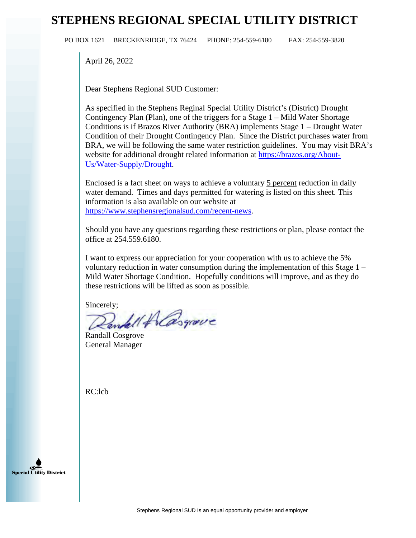## **STEPHENS REGIONAL SPECIAL UTILITY DISTRICT**

PO BOX 1621 BRECKENRIDGE, TX 76424 PHONE: 254-559-6180 FAX: 254-559-3820

April 26, 2022

Dear Stephens Regional SUD Customer:

As specified in the Stephens Reginal Special Utility District's (District) Drought Contingency Plan (Plan), one of the triggers for a Stage 1 – Mild Water Shortage Conditions is if Brazos River Authority (BRA) implements Stage 1 – Drought Water Condition of their Drought Contingency Plan. Since the District purchases water from BRA, we will be following the same water restriction guidelines. You may visit BRA's website for additional drought related information at [https://brazos.org/About-](https://brazos.org/About-Us/Water-Supply/Drought)[Us/Water-Supply/Drought.](https://brazos.org/About-Us/Water-Supply/Drought)

Enclosed is a fact sheet on ways to achieve a voluntary 5 percent reduction in daily water demand. Times and days permitted for watering is listed on this sheet. This information is also available on our website at [https://www.stephensregionalsud.com/recent-news.](https://www.stephensregionalsud.com/recent-news)

Should you have any questions regarding these restrictions or plan, please contact the office at 254.559.6180.

I want to express our appreciation for your cooperation with us to achieve the 5% voluntary reduction in water consumption during the implementation of this Stage 1 – Mild Water Shortage Condition. Hopefully conditions will improve, and as they do these restrictions will be lifted as soon as possible.

Sincerely;<br>Rendell Alasgrave

Randall Cosgrove General Manager

RC:lcb